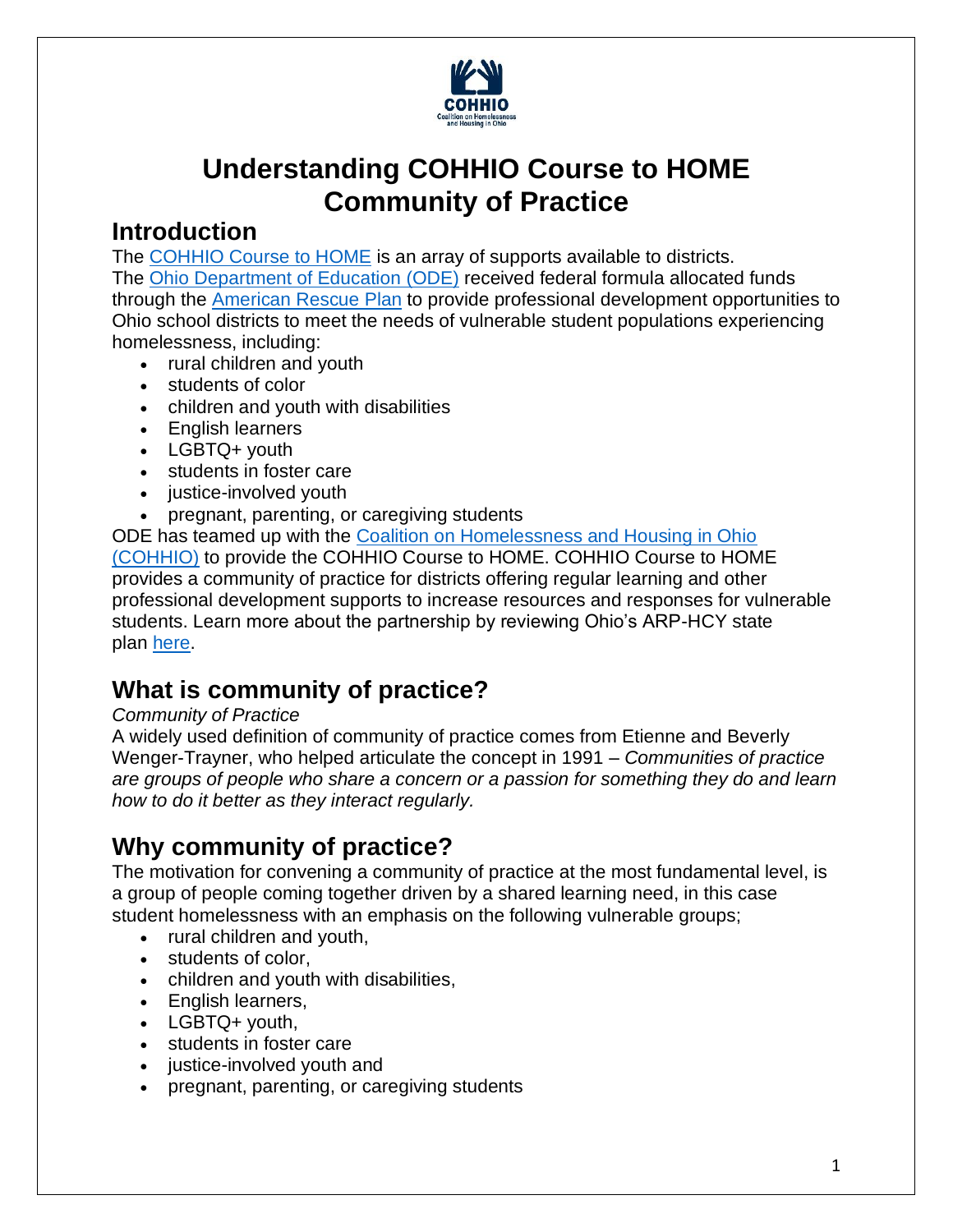

# **Understanding COHHIO Course to HOME Community of Practice**

### **Introduction**

The [COHHIO Course to HOME](https://cohhio.org/programs/youth-initiative/ode-youth-homelessness/) is an array of supports available to districts. The Ohio [Department of](https://education.ohio.gov/Topics/District-and-School-Continuous-Improvement/Vulnerable-Youth) Education (ODE) received federal formula allocated funds through the [American Rescue](https://education.ohio.gov/Topics/Student-Supports/Homeless-Youth/American-Rescue-Plan-Homeless-II-Funds) Plan to provide professional development opportunities to Ohio school districts to meet the needs of vulnerable student populations experiencing homelessness, including:

- rural children and youth
- students of color
- children and youth with disabilities
- English learners
- LGBTQ+ youth
- students in foster care
- justice-involved youth
- pregnant, parenting, or caregiving students

ODE has teamed up with the [Coalition on Homelessness and Housing in Ohio](https://cohhio.org/)  [\(COHHIO\)](https://cohhio.org/) to provide the COHHIO Course to HOME. COHHIO Course to HOME provides a community of practice for districts offering regular learning and other professional development supports to increase resources and responses for vulnerable students. Learn more about the partnership by reviewing Ohio's ARP-HCY state plan [here.](https://oese.ed.gov/files/2021/09/Ohio-ARP-HCY-State-Plan.pdf)

# **What is community of practice?**

#### *Community of Practice*

A widely used definition of community of practice comes from Etienne and Beverly Wenger-Trayner, who helped articulate the concept in 1991 – *Communities of practice are groups of people who share a concern or a passion for something they do and learn how to do it better as they interact regularly.*

# **Why community of practice?**

The motivation for convening a community of practice at the most fundamental level, is a group of people coming together driven by a shared learning need, in this case student homelessness with an emphasis on the following vulnerable groups;

- rural children and youth,
- students of color,
- children and youth with disabilities,
- English learners,
- LGBTQ+ youth,
- students in foster care
- justice-involved youth and
- pregnant, parenting, or caregiving students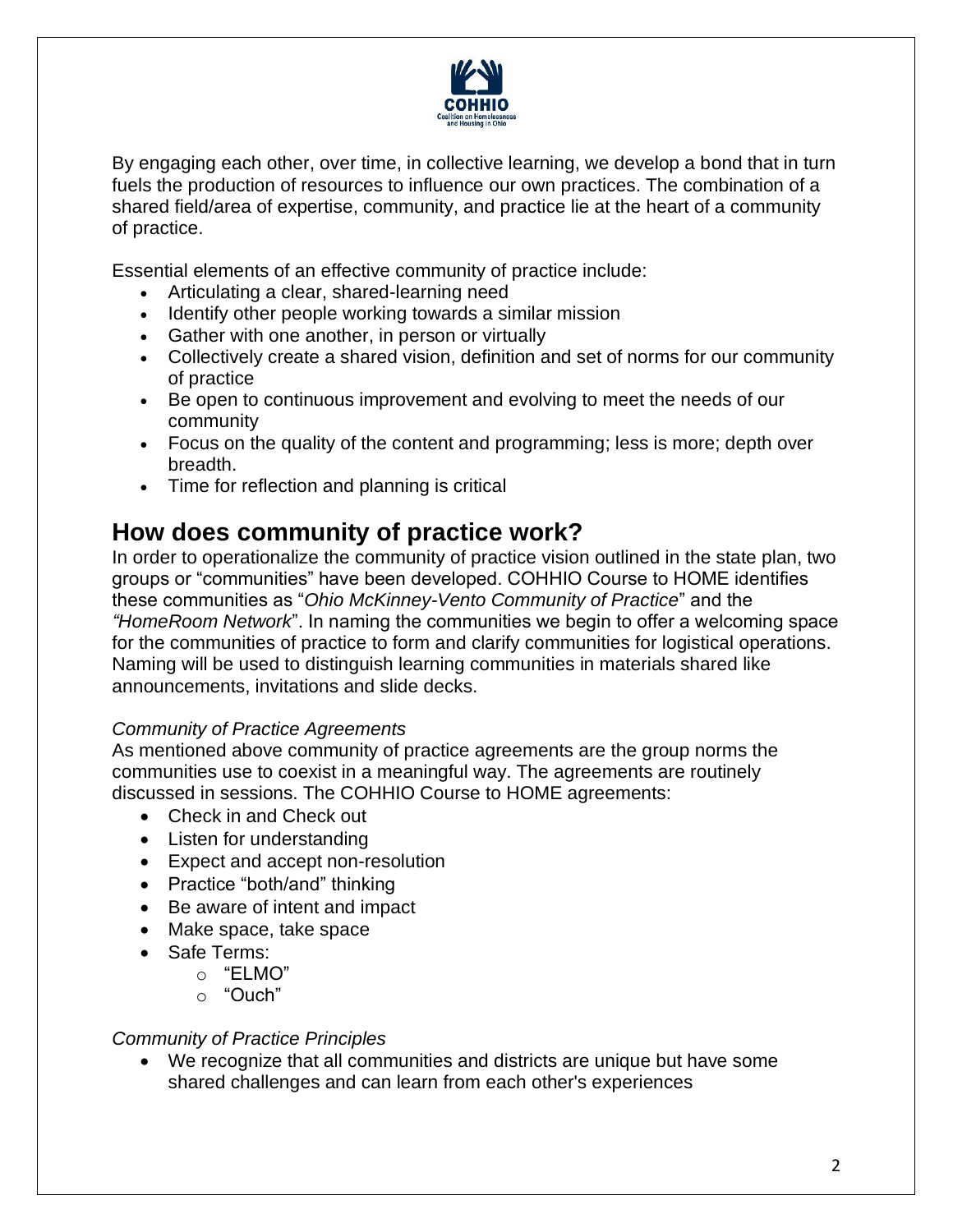

By engaging each other, over time, in collective learning, we develop a bond that in turn fuels the production of resources to influence our own practices. The combination of a shared field/area of expertise, community, and practice lie at the heart of a community of practice.

Essential elements of an effective community of practice include:

- Articulating a clear, shared-learning need
- Identify other people working towards a similar mission
- Gather with one another, in person or virtually
- Collectively create a shared vision, definition and set of norms for our community of practice
- Be open to continuous improvement and evolving to meet the needs of our community
- Focus on the quality of the content and programming; less is more; depth over breadth.
- Time for reflection and planning is critical

# **How does community of practice work?**

In order to operationalize the community of practice vision outlined in the state plan, two groups or "communities" have been developed. COHHIO Course to HOME identifies these communities as "*Ohio McKinney-Vento Community of Practice*" and the *"HomeRoom Network*". In naming the communities we begin to offer a welcoming space for the communities of practice to form and clarify communities for logistical operations. Naming will be used to distinguish learning communities in materials shared like announcements, invitations and slide decks.

#### *Community of Practice Agreements*

As mentioned above community of practice agreements are the group norms the communities use to coexist in a meaningful way. The agreements are routinely discussed in sessions. The COHHIO Course to HOME agreements:

- Check in and Check out
- Listen for understanding
- Expect and accept non-resolution
- Practice "both/and" thinking
- Be aware of intent and impact
- Make space, take space
- Safe Terms:
	- $\circ$  "FIMO"
	- o "Ouch"

#### *Community of Practice Principles*

• We recognize that all communities and districts are unique but have some shared challenges and can learn from each other's experiences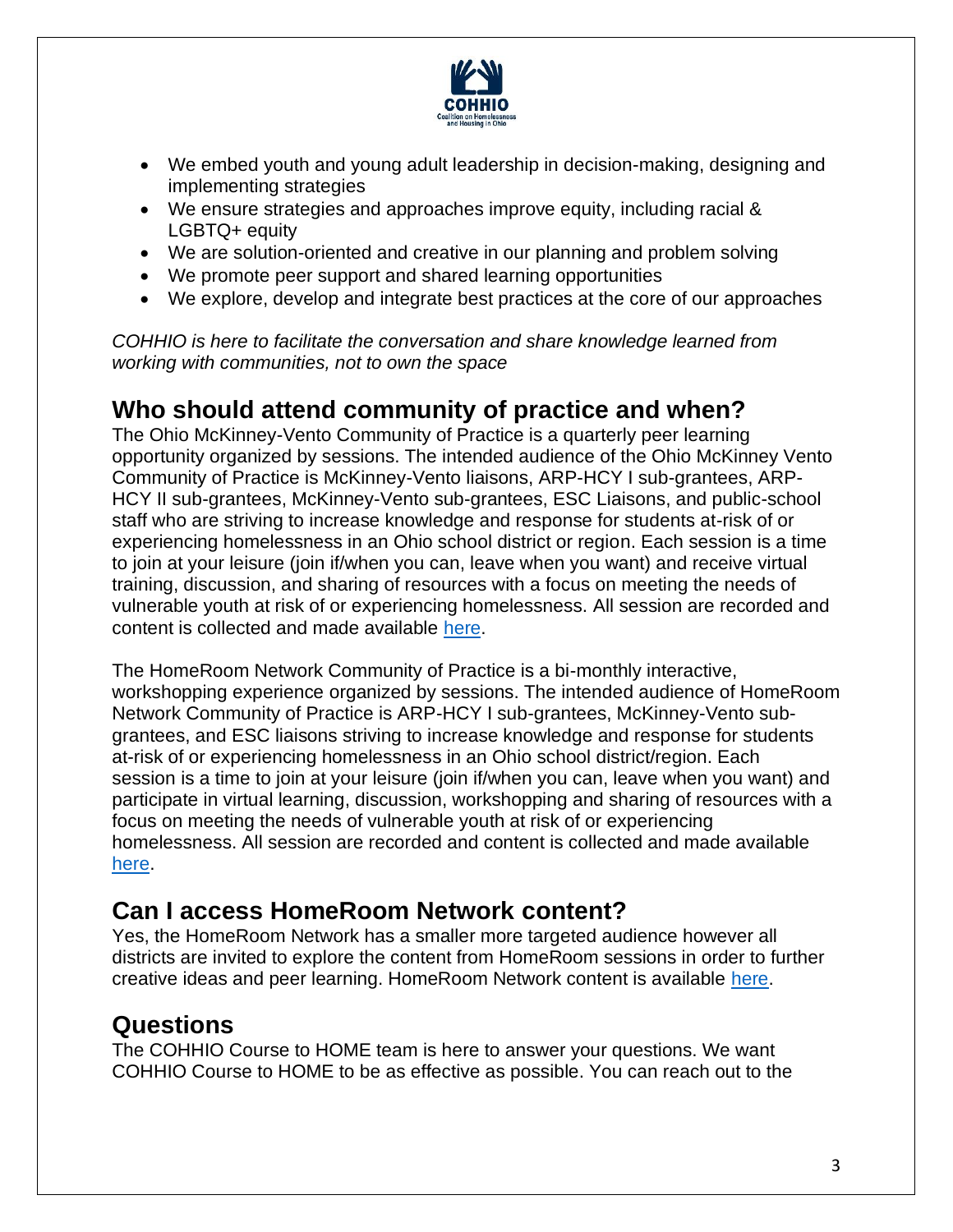

- We embed youth and young adult leadership in decision-making, designing and implementing strategies
- We ensure strategies and approaches improve equity, including racial & LGBTQ+ equity
- We are solution-oriented and creative in our planning and problem solving
- We promote peer support and shared learning opportunities
- We explore, develop and integrate best practices at the core of our approaches

*COHHIO is here to facilitate the conversation and share knowledge learned from working with communities, not to own the space*

### **Who should attend community of practice and when?**

The Ohio McKinney-Vento Community of Practice is a quarterly peer learning opportunity organized by sessions. The intended audience of the Ohio McKinney Vento Community of Practice is McKinney-Vento liaisons, ARP-HCY I sub-grantees, ARP-HCY II sub-grantees, McKinney-Vento sub-grantees, ESC Liaisons, and public-school staff who are striving to increase knowledge and response for students at-risk of or experiencing homelessness in an Ohio school district or region. Each session is a time to join at your leisure (join if/when you can, leave when you want) and receive virtual training, discussion, and sharing of resources with a focus on meeting the needs of vulnerable youth at risk of or experiencing homelessness. All session are recorded and content is collected and made available [here.](https://cohhio.org/programs/youth-initiative/ode-youth-homelessness/)

The HomeRoom Network Community of Practice is a bi-monthly interactive, workshopping experience organized by sessions. The intended audience of HomeRoom Network Community of Practice is ARP-HCY I sub-grantees, McKinney-Vento subgrantees, and ESC liaisons striving to increase knowledge and response for students at-risk of or experiencing homelessness in an Ohio school district/region. Each session is a time to join at your leisure (join if/when you can, leave when you want) and participate in virtual learning, discussion, workshopping and sharing of resources with a focus on meeting the needs of vulnerable youth at risk of or experiencing homelessness. All session are recorded and content is collected and made available [here.](https://cohhio.org/programs/youth-initiative/ode-youth-homelessness/)

# **Can I access HomeRoom Network content?**

Yes, the HomeRoom Network has a smaller more targeted audience however all districts are invited to explore the content from HomeRoom sessions in order to further creative ideas and peer learning. HomeRoom Network content is available [here.](https://cohhio.org/programs/youth-initiative/ode-youth-homelessness/)

### **Questions**

The COHHIO Course to HOME team is here to answer your questions. We want COHHIO Course to HOME to be as effective as possible. You can reach out to the